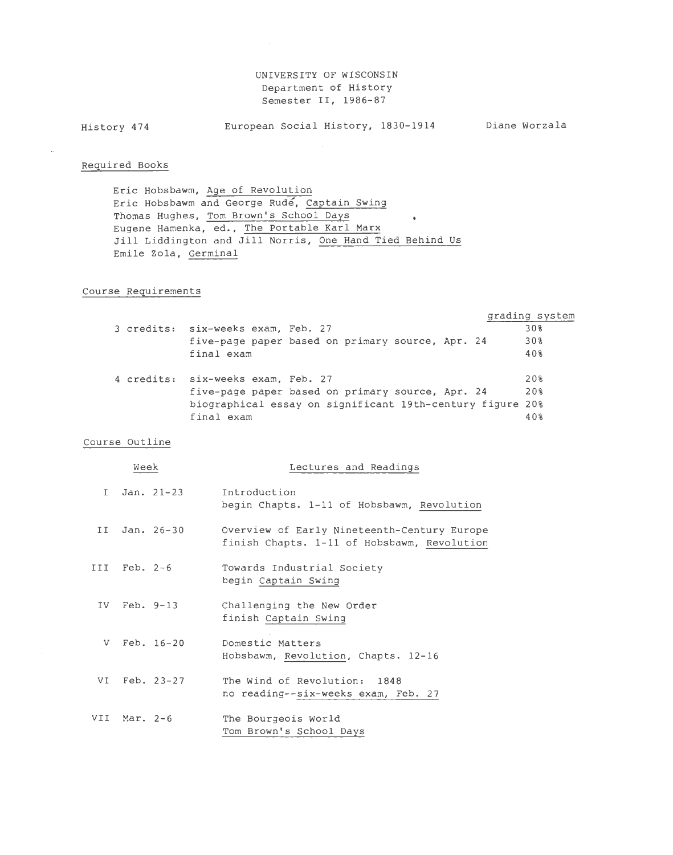## UNIVERSITY OF WISCONSIN Department of History Semester II, 1986-87

History 474 European Social History, 1830-1914 Diane Worzala

 $\sim$ 

## Required Books

Eric Hobsbawm, Age of Revolution Eric Hobsbawm and George Rude, Captain Swing Thomas Hughes, Tom Brown's School Days  $\bullet$ Eugene Hamenka, ed., The Portable Karl Marx Jill Liddington and Jill Norris, One Hand Tied Behind Us Emile Zola, Germinal

## Course Requirements

|  |                                                           | grading system |
|--|-----------------------------------------------------------|----------------|
|  | 3 credits: six-weeks exam, Feb. 27                        | 30%            |
|  | five-page paper based on primary source, Apr. 24          | 30%            |
|  | final exam                                                | 40%            |
|  |                                                           |                |
|  | 4 credits: six-weeks exam, Feb. 27                        | 20%            |
|  | five-page paper based on primary source, Apr. 24          | 20%            |
|  | biographical essay on significant 19th-century figure 20% |                |
|  | final exam                                                | 40%            |
|  |                                                           |                |

## Course Outline

| Week |                  |              | Lectures and Readings                                                                      |
|------|------------------|--------------|--------------------------------------------------------------------------------------------|
| T    |                  | $Jan. 21-23$ | Introduction<br>begin Chapts. 1-11 of Hobsbawm, Revolution                                 |
| TT T |                  | Jan. $26-30$ | Overview of Early Nineteenth-Century Europe<br>finish Chapts. 1-11 of Hobsbawm, Revolution |
|      | $III$ Feb. $2-6$ |              | Towards Industrial Society<br>begin Captain Swing                                          |
|      |                  | IV Feb. 9-13 | Challenging the New Order<br>finish Captain Swing                                          |
| V.   |                  | $Feb. 16-20$ | Domestic Matters<br>Hobsbawm, Revolution, Chapts. 12-16                                    |
| VI   |                  | Feb. 23-27   | The Wind of Revolution: 1848<br>no reading--six-weeks exam, Feb. 27                        |
|      | VII Mar. 2-6     |              | The Bourgeois World<br>Tom Brown's School Days                                             |